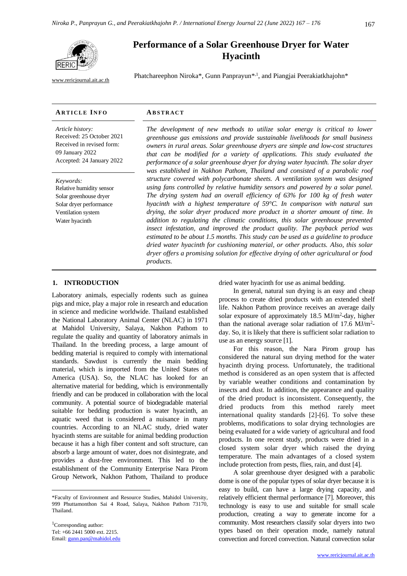

[www.rericjournal.ait.ac.th](file:///C:/Reric-Data/JOURNAL/Accepted%20Paper/Users/RERIC/Vol.11%20No.2/Formatted/For%20Print/www.rericjournal.ait.ac.th)

# **Performance of a Solar Greenhouse Dryer for Water Hyacinth**

Phatchareephon Niroka\*, Gunn Panprayun\*<sup>,1</sup>, and Piangjai Peerakiatkhajohn\*

#### **AR T I C L E I N F O AB S T R A C T**

*Article history:* Received: 25 October 2021 Received in revised form: 09 January 2022 Accepted: 24 January 2022

*Keywords:* Relative humidity sensor Solar greenhouse dryer Solar dryer performance Ventilation system Water hyacinth

*The development of new methods to utilize solar energy is critical to lower greenhouse gas emissions and provide sustainable livelihoods for small business owners in rural areas. Solar greenhouse dryers are simple and low-cost structures that can be modified for a variety of applications. This study evaluated the performance of a solar greenhouse dryer for drying water hyacinth. The solar dryer was established in Nakhon Pathom, Thailand and consisted of a parabolic roof structure covered with polycarbonate sheets. A ventilation system was designed using fans controlled by relative humidity sensors and powered by a solar panel. The drying system had an overall efficiency of 63% for 100 kg of fresh water hyacinth with a highest temperature of 59°C. In comparison with natural sun drying, the solar dryer produced more product in a shorter amount of time. In addition to regulating the climatic conditions, this solar greenhouse prevented insect infestation, and improved the product quality. The payback period was estimated to be about 1.5 months. This study can be used as a guideline to produce dried water hyacinth for cushioning material, or other products. Also, this solar dryer offers a promising solution for effective drying of other agricultural or food products.*

# 1. **INTRODUCTION**

Laboratory animals, especially rodents such as guinea pigs and mice, play a major role in research and education in science and medicine worldwide. Thailand established the National Laboratory Animal Center (NLAC) in 1971 at Mahidol University, Salaya, Nakhon Pathom to regulate the quality and quantity of laboratory animals in Thailand. In the breeding process, a large amount of bedding material is required to comply with international standards. Sawdust is currently the main bedding material, which is imported from the United States of America (USA). So, the NLAC has looked for an alternative material for bedding, which is environmentally friendly and can be produced in collaboration with the local community. A potential source of biodegradable material suitable for bedding production is water hyacinth, an aquatic weed that is considered a nuisance in many countries. According to an NLAC study, dried water hyacinth stems are suitable for animal bedding production because it has a high fiber content and soft structure, can absorb a large amount of water, does not disintegrate, and provides a dust-free environment. This led to the establishment of the Community Enterprise Nara Pirom Group Network, Nakhon Pathom, Thailand to produce dried water hyacinth for use as animal bedding.

In general, natural sun drying is an easy and cheap process to create dried products with an extended shelf life. Nakhon Pathom province receives an average daily solar exposure of approximately  $18.5 \text{ MJ/m}^2$ -day, higher than the national average solar radiation of  $17.6 \text{ MJ/m}^2$ day. So, it is likely that there is sufficient solar radiation to use as an energy source [1].

For this reason, the Nara Pirom group has considered the natural sun drying method for the water hyacinth drying process. Unfortunately, the traditional method is considered as an open system that is affected by variable weather conditions and contamination by insects and dust. In addition, the appearance and quality of the dried product is inconsistent. Consequently, the dried products from this method rarely meet international quality standards [2]-[6]. To solve these problems, modifications to solar drying technologies are being evaluated for a wide variety of agricultural and food products. In one recent study, products were dried in a closed system solar dryer which raised the drying temperature. The main advantages of a closed system include protection from pests, flies, rain, and dust [4].

A solar greenhouse dryer designed with a parabolic dome is one of the popular types of solar dryer because it is easy to build, can have a large drying capacity, and relatively efficient thermal performance [7]. Moreover, this technology is easy to use and suitable for small scale production, creating a way to generate income for a community. Most researchers classify solar dryers into two types based on their operation mode, namely natural convection and forced convection. Natural convection solar

<sup>\*</sup>Faculty of Environment and Resource Studies, Mahidol University, 999 Phuttamonthon Sai 4 Road, Salaya, Nakhon Pathom 73170, Thailand.

<sup>&</sup>lt;sup>1</sup>Corresponding author: Tel: +66 2441 5000 ext. 2215. Email[: gunn.pan@mahidol.edu](mailto:gunn.pan@mahidol.edu)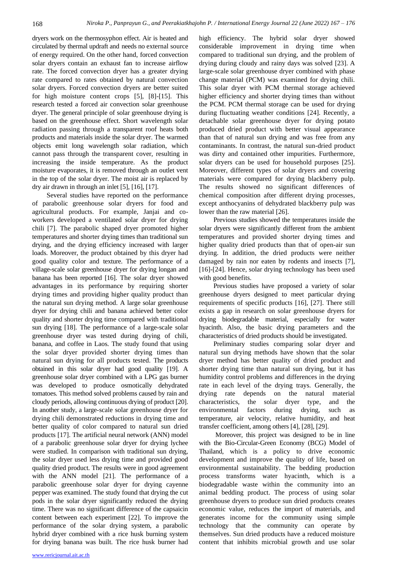dryers work on the thermosyphon effect. Air is heated and circulated by thermal updraft and needs no external source of energy required. On the other hand, forced convection solar dryers contain an exhaust fan to increase airflow rate. The forced convection dryer has a greater drying rate compared to rates obtained by natural convection solar dryers. Forced convection dryers are better suited for high moisture content crops [5], [8]-[15]. This research tested a forced air convection solar greenhouse dryer. The general principle of solar greenhouse drying is based on the greenhouse effect. Short wavelength solar radiation passing through a transparent roof heats both products and materials inside the solar dryer. The warmed objects emit long wavelength solar radiation, which cannot pass through the transparent cover, resulting in increasing the inside temperature. As the product moisture evaporates, it is removed through an outlet vent in the top of the solar dryer. The moist air is replaced by dry air drawn in through an inlet [5], [16], [17].

Several studies have reported on the performance of parabolic greenhouse solar dryers for food and agricultural products. For example, Janjai and coworkers developed a ventilated solar dryer for drying chili [7]. The parabolic shaped dryer promoted higher temperatures and shorter drying times than traditional sun drying, and the drying efficiency increased with larger loads. Moreover, the product obtained by this dryer had good quality color and texture. The performance of a village-scale solar greenhouse dryer for drying longan and banana has been reported [16]. The solar dryer showed advantages in its performance by requiring shorter drying times and providing higher quality product than the natural sun drying method. A large solar greenhouse dryer for drying chili and banana achieved better color quality and shorter drying time compared with traditional sun drying [18]. The performance of a large-scale solar greenhouse dryer was tested during drying of chili, banana, and coffee in Laos. The study found that using the solar dryer provided shorter drying times than natural sun drying for all products tested. The products obtained in this solar dryer had good quality [19]. A greenhouse solar dryer combined with a LPG gas burner was developed to produce osmotically dehydrated tomatoes. This method solved problems caused by rain and cloudy periods, allowing continuous drying of product [20]. In another study, a large-scale solar greenhouse dryer for drying chili demonstrated reductions in drying time and better quality of color compared to natural sun dried products [17]. The artificial neural network (ANN) model of a parabolic greenhouse solar dryer for drying lychee were studied. In comparison with traditional sun drying, the solar dryer used less drying time and provided good quality dried product. The results were in good agreement with the ANN model [21]. The performance of a parabolic greenhouse solar dryer for drying cayenne pepper was examined. The study found that drying the cut pods in the solar dryer significantly reduced the drying time. There was no significant difference of the capsaicin content between each experiment [22]. To improve the performance of the solar drying system, a parabolic hybrid dryer combined with a rice husk burning system for drying banana was built. The rice husk burner had high efficiency. The hybrid solar dryer showed considerable improvement in drying time when compared to traditional sun drying, and the problem of drying during cloudy and rainy days was solved [23]. A large-scale solar greenhouse dryer combined with phase change material (PCM) was examined for drying chili. This solar dryer with PCM thermal storage achieved higher efficiency and shorter drying times than without the PCM. PCM thermal storage can be used for drying during fluctuating weather conditions [24]. Recently, a detachable solar greenhouse dryer for drying potato produced dried product with better visual appearance than that of natural sun drying and was free from any contaminants. In contrast, the natural sun-dried product was dirty and contained other impurities. Furthermore, solar dryers can be used for household purposes [25]. Moreover, different types of solar dryers and covering materials were compared for drying blackberry pulp. The results showed no significant differences of chemical composition after different drying processes, except anthocyanins of dehydrated blackberry pulp was lower than the raw material [26].

Previous studies showed the temperatures inside the solar dryers were significantly different from the ambient temperatures and provided shorter drying times and higher quality dried products than that of open-air sun drying. In addition, the dried products were neither damaged by rain nor eaten by rodents and insects [7], [16]-[24]. Hence, solar drying technology has been used with good benefits.

Previous studies have proposed a variety of solar greenhouse dryers designed to meet particular drying requirements of specific products [16], [27]. There still exists a gap in research on solar greenhouse dryers for drying biodegradable material, especially for water hyacinth. Also, the basic drying parameters and the characteristics of dried products should be investigated.

Preliminary studies comparing solar dryer and natural sun drying methods have shown that the solar dryer method has better quality of dried product and shorter drying time than natural sun drying, but it has humidity control problems and differences in the drying rate in each level of the drying trays. Generally, the drying rate depends on the natural material characteristics, the solar dryer type, and the environmental factors during drying, such as temperature, air velocity, relative humidity, and heat transfer coefficient, among others [4], [28], [29].

Moreover, this project was designed to be in line with the Bio-Circular-Green Economy (BCG) Model of Thailand, which is a policy to drive economic development and improve the quality of life, based on environmental sustainability. The bedding production process transforms water hyacinth, which is a biodegradable waste within the community into an animal bedding product. The process of using solar greenhouse dryers to produce sun dried products creates economic value, reduces the import of materials, and generates income for the community using simple technology that the community can operate by themselves. Sun dried products have a reduced moisture content that inhibits microbial growth and use solar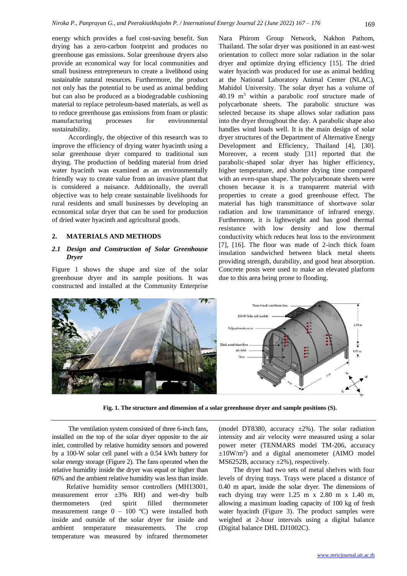energy which provides a fuel cost-saving benefit. Sun drying has a zero-carbon footprint and produces no greenhouse gas emissions. Solar greenhouse dryers also provide an economical way for local communities and small business entrepreneurs to create a livelihood using sustainable natural resources. Furthermore, the product not only has the potential to be used as animal bedding but can also be produced as a biodegradable cushioning material to replace petroleum-based materials, as well as to reduce greenhouse gas emissions from foam or plastic manufacturing processes for environmental sustainability.

Accordingly, the objective of this research was to improve the efficiency of drying water hyacinth using a solar greenhouse dryer compared to traditional sun drying. The production of bedding material from dried water hyacinth was examined as an environmentally friendly way to create value from an invasive plant that is considered a nuisance. Additionally, the overall objective was to help create sustainable livelihoods for rural residents and small businesses by developing an economical solar dryer that can be used for production of dried water hyacinth and agricultural goods.

# **2. MATERIALS AND METHODS**

## *2.1 Design and Construction of Solar Greenhouse Dryer*

Figure 1 shows the shape and size of the solar greenhouse dryer and its sample positions. It was constructed and installed at the Community Enterprise Nara Phirom Group Network, Nakhon Pathom, Thailand. The solar dryer was positioned in an east-west orientation to collect more solar radiation in the solar dryer and optimize drying efficiency [15]. The dried water hyacinth was produced for use as animal bedding at the National Laboratory Animal Center (NLAC), Mahidol University. The solar dryer has a volume of  $40.19$  m<sup>3</sup> within a parabolic roof structure made of polycarbonate sheets. The parabolic structure was selected because its shape allows solar radiation pass into the dryer throughout the day. A parabolic shape also handles wind loads well. It is the main design of solar dryer structures of the Department of Alternative Energy Development and Efficiency, Thailand [4], [30]. Moreover, a recent study [31] reported that the parabolic-shaped solar dryer has higher efficiency, higher temperature, and shorter drying time compared with an even-span shape. The polycarbonate sheets were chosen because it is a transparent material with properties to create a good greenhouse effect. The material has high transmittance of shortwave solar radiation and low transmittance of infrared energy. Furthermore, it is lightweight and has good thermal resistance with low density and low thermal conductivity which reduces heat loss to the environment [7], [16]. The floor was made of 2-inch thick foam insulation sandwiched between black metal sheets providing strength, durability, and good heat absorption. Concrete posts were used to make an elevated platform due to this area being prone to flooding.



**Fig. 1. The structure and dimension of a solar greenhouse dryer and sample positions (S).**

The ventilation system consisted of three 6-inch fans, installed on the top of the solar dryer opposite to the air inlet, controlled by relative humidity sensors and powered by a 100-W solar cell panel with a 0.54 kWh battery for solar energy storage (Figure 2). The fans operated when the relative humidity inside the dryer was equal or higher than 60% and the ambient relative humidity was less than inside.

Relative humidity sensor controllers (MH13001, measurement error  $\pm 3\%$  RH) and wet-dry bulb thermometers (red spirit filled thermometer measurement range  $0 - 100$  °C) were installed both inside and outside of the solar dryer for inside and ambient temperature measurements. The crop temperature was measured by infrared thermometer

(model DT8380, accuracy  $\pm 2\%$ ). The solar radiation intensity and air velocity were measured using a solar power meter (TENMARS model TM-206, accuracy  $\pm 10$ W/m<sup>2</sup>) and a digital anemometer (AIMO model MS6252B, accuracy ±2%), respectively.

The dryer had two sets of metal shelves with four levels of drying trays. Trays were placed a distance of 0.40 m apart, inside the solar dryer. The dimensions of each drying tray were 1.25 m x 2.80 m x 1.40 m, allowing a maximum loading capacity of 100 kg of fresh water hyacinth (Figure 3). The product samples were weighed at 2-hour intervals using a digital balance (Digital balance DHL DJ1002C).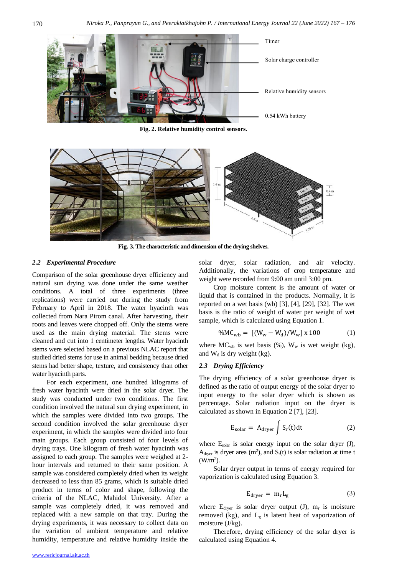

**Fig. 2. Relative humidity control sensors.**



**Fig. 3. The characteristic and dimension of the drying shelves.**

#### *2.2 Experimental Procedure*

Comparison of the solar greenhouse dryer efficiency and natural sun drying was done under the same weather conditions. A total of three experiments (three replications) were carried out during the study from February to April in 2018. The water hyacinth was collected from Nara Pirom canal. After harvesting, their roots and leaves were chopped off. Only the stems were used as the main drying material. The stems were cleaned and cut into 1 centimeter lengths. Water hyacinth stems were selected based on a previous NLAC report that studied dried stems for use in animal bedding because dried stems had better shape, texture, and consistency than other water hyacinth parts.

For each experiment, one hundred kilograms of fresh water hyacinth were dried in the solar dryer. The study was conducted under two conditions. The first condition involved the natural sun drying experiment, in which the samples were divided into two groups. The second condition involved the solar greenhouse dryer experiment, in which the samples were divided into four main groups. Each group consisted of four levels of drying trays. One kilogram of fresh water hyacinth was assigned to each group. The samples were weighed at 2 hour intervals and returned to their same position. A sample was considered completely dried when its weight decreased to less than 85 grams, which is suitable dried product in terms of color and shape, following the criteria of the NLAC, Mahidol University. After a sample was completely dried, it was removed and replaced with a new sample on that tray. During the drying experiments, it was necessary to collect data on the variation of ambient temperature and relative humidity, temperature and relative humidity inside the solar dryer, solar radiation, and air velocity. Additionally, the variations of crop temperature and weight were recorded from 9:00 am until 3:00 pm.

Crop moisture content is the amount of water or liquid that is contained in the products. Normally, it is reported on a wet basis (wb) [3], [4], [29], [32]. The wet basis is the ratio of weight of water per weight of wet sample, which is calculated using Equation 1.

$$
\%MC_{wb} = [(W_w - W_d)/W_w] \times 100 \tag{1}
$$

where  $MC_{wb}$  is wet basis (%),  $W_w$  is wet weight (kg), and  $W_d$  is dry weight (kg).

#### *2.3 Drying Efficiency*

The drying efficiency of a solar greenhouse dryer is defined as the ratio of output energy of the solar dryer to input energy to the solar dryer which is shown as percentage. Solar radiation input on the dryer is calculated as shown in Equation 2 [7], [23].

$$
E_{\text{solar}} = A_{\text{dryer}} \int S_r(t) dt
$$
 (2)

where  $E_{solar}$  is solar energy input on the solar dryer (J),  $A<sub>dy</sub>$  is dryer area (m<sup>2</sup>), and  $S<sub>r</sub>(t)$  is solar radiation at time t  $(W/m<sup>2</sup>)$ .

Solar dryer output in terms of energy required for vaporization is calculated using Equation 3.

$$
E_{\text{dryer}} = m_{\text{r}} L_{\text{g}} \tag{3}
$$

where  $E_{\text{dryer}}$  is solar dryer output (J),  $m_r$  is moisture removed (kg), and  $L_g$  is latent heat of vaporization of moisture (J/kg).

Therefore, drying efficiency of the solar dryer is calculated using Equation 4.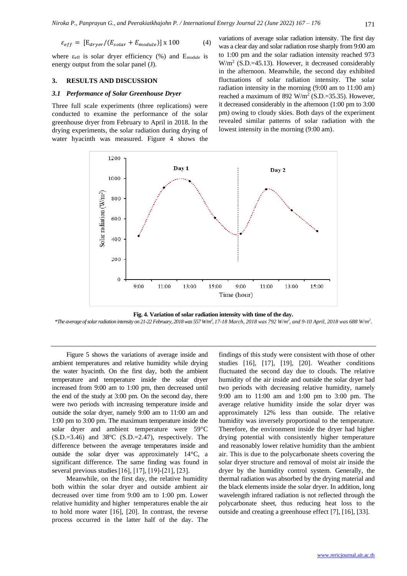$$
\varepsilon_{eff} = \left[ E_{dryer} / (E_{solar} + E_{module}) \right] \times 100 \tag{4}
$$

where  $\varepsilon_{\text{eff}}$  is solar dryer efficiency (%) and E<sub>module</sub> is energy output from the solar panel (J).

#### **3. RESULTS AND DISCUSSION**

## *3.1 Performance of Solar Greenhouse Dryer*

Three full scale experiments (three replications) were conducted to examine the performance of the solar greenhouse dryer from February to April in 2018. In the drying experiments, the solar radiation during drying of water hyacinth was measured. Figure 4 shows the variations of average solar radiation intensity. The first day was a clear day and solar radiation rose sharply from 9:00 am to 1:00 pm and the solar radiation intensity reached 973 W/m<sup>2</sup> (S.D.=45.13). However, it decreased considerably in the afternoon. Meanwhile, the second day exhibited fluctuations of solar radiation intensity. The solar radiation intensity in the morning (9:00 am to 11:00 am) reached a maximum of 892  $W/m^2$  (S.D.=35.35). However, it decreased considerably in the afternoon (1:00 pm to 3:00 pm) owing to cloudy skies. Both days of the experiment revealed similar patterns of solar radiation with the lowest intensity in the morning (9:00 am).



**Fig. 4. Variation of solar radiation intensity with time of the day.**

*\*The average of solar radiation intensity on 21-22 February, 2018 was 557 W/m 2 , 17-18 March, 2018 was 792 W/m 2 , and 9-10 April, 2018 was 688 W/m 2* .

Figure 5 shows the variations of average inside and ambient temperatures and relative humidity while drying the water hyacinth. On the first day, both the ambient temperature and temperature inside the solar dryer increased from 9:00 am to 1:00 pm, then decreased until the end of the study at 3:00 pm. On the second day, there were two periods with increasing temperature inside and outside the solar dryer, namely 9:00 am to 11:00 am and 1:00 pm to 3:00 pm. The maximum temperature inside the solar dryer and ambient temperature were 59°C  $(S.D.=3.46)$  and  $38^{\circ}C$   $(S.D.=2.47)$ , respectively. The difference between the average temperatures inside and outside the solar dryer was approximately 14°C, a significant difference. The same finding was found in several previous studies[16], [17], [19]-[21], [23].

Meanwhile, on the first day, the relative humidity both within the solar dryer and outside ambient air decreased over time from 9:00 am to 1:00 pm. Lower relative humidity and higher temperatures enable the air to hold more water [16], [20]. In contrast, the reverse process occurred in the latter half of the day. The

findings of this study were consistent with those of other studies [16], [17], [19], [20]. Weather conditions fluctuated the second day due to clouds. The relative humidity of the air inside and outside the solar dryer had two periods with decreasing relative humidity, namely 9:00 am to 11:00 am and 1:00 pm to 3:00 pm. The average relative humidity inside the solar dryer was approximately 12% less than outside. The relative humidity was inversely proportional to the temperature. Therefore, the environment inside the dryer had higher drying potential with consistently higher temperature and reasonably lower relative humidity than the ambient air. This is due to the polycarbonate sheets covering the solar dryer structure and removal of moist air inside the dryer by the humidity control system. Generally, the thermal radiation was absorbed by the drying material and the black elements inside the solar dryer. In addition, long wavelength infrared radiation is not reflected through the polycarbonate sheet, thus reducing heat loss to the outside and creating a greenhouse effect [7], [16], [33].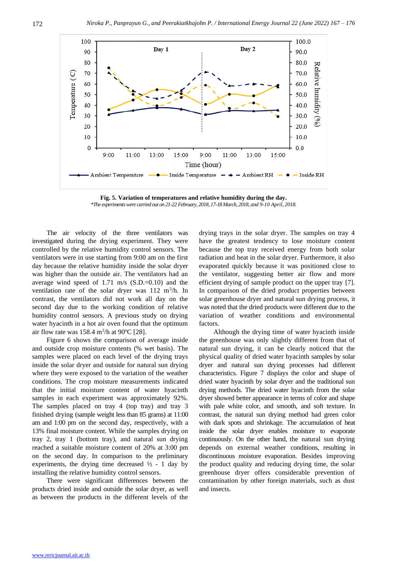

**Fig. 5. Variation of temperatures and relative humidity during the day.** *\*The experiments were carried out on 21-22 February, 2018, 17-18 March, 2018, and 9-10 April, 2018.*

The air velocity of the three ventilators was investigated during the drying experiment. They were controlled by the relative humidity control sensors. The ventilators were in use starting from 9:00 am on the first day because the relative humidity inside the solar dryer was higher than the outside air. The ventilators had an average wind speed of 1.71 m/s (S.D.=0.10) and the ventilation rate of the solar dryer was  $112 \text{ m}^3/\text{h}$ . In contrast, the ventilators did not work all day on the second day due to the working condition of relative humidity control sensors. A previous study on drying water hyacinth in a hot air oven found that the optimum air flow rate was  $158.4 \text{ m}^3/\text{h}$  at 90 $\textdegree$ C [28].

Figure 6 shows the comparison of average inside and outside crop moisture contents (% wet basis). The samples were placed on each level of the drying trays inside the solar dryer and outside for natural sun drying where they were exposed to the variation of the weather conditions. The crop moisture measurements indicated that the initial moisture content of water hyacinth samples in each experiment was approximately 92%. The samples placed on tray 4 (top tray) and tray 3 finished drying (sample weight less than 85 grams) at 11:00 am and 1:00 pm on the second day, respectively, with a 13% final moisture content. While the samples drying on tray 2, tray 1 (bottom tray), and natural sun drying reached a suitable moisture content of 20% at 3:00 pm on the second day. In comparison to the preliminary experiments, the drying time decreased  $\frac{1}{2}$  - 1 day by installing the relative humidity control sensors.

There were significant differences between the products dried inside and outside the solar dryer, as well as between the products in the different levels of the drying trays in the solar dryer. The samples on tray 4 have the greatest tendency to lose moisture content because the top tray received energy from both solar radiation and heat in the solar dryer. Furthermore, it also evaporated quickly because it was positioned close to the ventilator, suggesting better air flow and more efficient drying of sample product on the upper tray [7]. In comparison of the dried product properties between solar greenhouse dryer and natural sun drying process, it was noted that the dried products were different due to the variation of weather conditions and environmental factors.

Although the drying time of water hyacinth inside the greenhouse was only slightly different from that of natural sun drying, it can be clearly noticed that the physical quality of dried water hyacinth samples by solar dryer and natural sun drying processes had different characteristics. Figure 7 displays the color and shape of dried water hyacinth by solar dryer and the traditional sun drying methods. The dried water hyacinth from the solar dryer showed better appearance in terms of color and shape with pale white color, and smooth, and soft texture. In contrast, the natural sun drying method had green color with dark spots and shrinkage. The accumulation of heat inside the solar dryer enables moisture to evaporate continuously. On the other hand, the natural sun drying depends on external weather conditions, resulting in discontinuous moisture evaporation. Besides improving the product quality and reducing drying time, the solar greenhouse dryer offers considerable prevention of contamination by other foreign materials, such as dust and insects.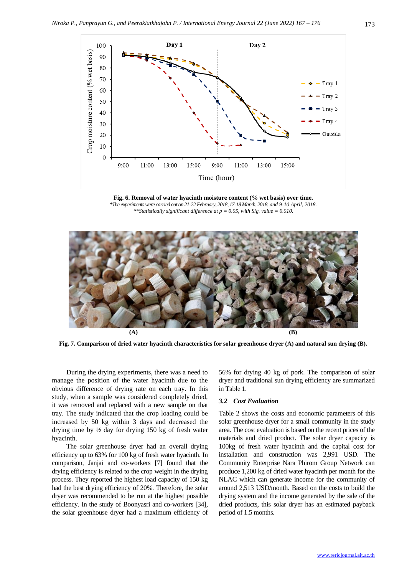

**Fig. 6. Removal of water hyacinth moisture content (% wet basis) over time.** *\*The experiments were carried out on 21-22 February, 2018, 17-18 March, 2018, and 9-10 April, 2018. \*\*Statistically significant difference at p = 0.05, with Sig. value = 0.010.*



**Fig. 7. Comparison of dried water hyacinth characteristics for solar greenhouse dryer (A) and natural sun drying (B).**

During the drying experiments, there was a need to manage the position of the water hyacinth due to the obvious difference of drying rate on each tray. In this study, when a sample was considered completely dried, it was removed and replaced with a new sample on that tray. The study indicated that the crop loading could be increased by 50 kg within 3 days and decreased the drying time by ½ day for drying 150 kg of fresh water hyacinth.

The solar greenhouse dryer had an overall drying efficiency up to 63% for 100 kg of fresh water hyacinth. In comparison, Janjai and co-workers [7] found that the drying efficiency is related to the crop weight in the drying process. They reported the highest load capacity of 150 kg had the best drying efficiency of 20%. Therefore, the solar dryer was recommended to be run at the highest possible efficiency. In the study of Boonyasri and co-workers [34], the solar greenhouse dryer had a maximum efficiency of 56% for drying 40 kg of pork. The comparison of solar dryer and traditional sun drying efficiency are summarized in Table 1.

#### *3.2 Cost Evaluation*

Table 2 shows the costs and economic parameters of this solar greenhouse dryer for a small community in the study area. The cost evaluation is based on the recent prices of the materials and dried product. The solar dryer capacity is 100kg of fresh water hyacinth and the capital cost for installation and construction was 2,991 USD. The Community Enterprise Nara Phirom Group Network can produce 1,200 kg of dried water hyacinth per month for the NLAC which can generate income for the community of around 2,513 USD/month. Based on the costs to build the drying system and the income generated by the sale of the dried products, this solar dryer has an estimated payback period of 1.5 months.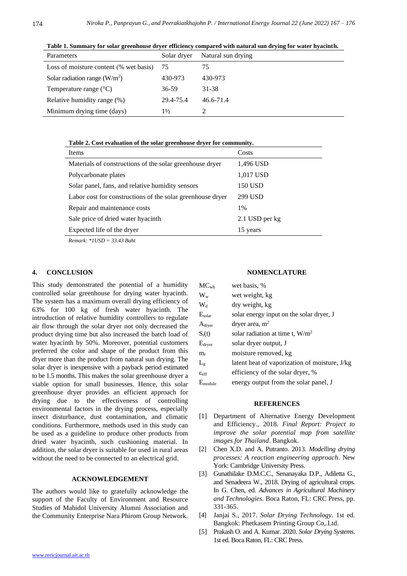**Table 1. Summary for solar greenhouse dryer efficiency compared with natural sun drying for water hyacinth.** Parameters Solar dryer Natural sun drying Loss of moisture content (% wet basis) 75 75

| Loss of moisture content (% wet basis) $75$ |                | 75        |
|---------------------------------------------|----------------|-----------|
| Solar radiation range $(W/m^2)$             | 430-973        | 430-973   |
| Temperature range $(^{\circ}C)$             | 36-59          | 31-38     |
| Relative humidity range (%)                 | 29.4-75.4      | 46.6-71.4 |
| Minimum drying time (days)                  | $1\frac{1}{2}$ |           |

**Table 2. Cost evaluation of the solar greenhouse dryer for community.**

| Items                                                      | Costs          |
|------------------------------------------------------------|----------------|
| Materials of constructions of the solar greenhouse dryer   | 1,496 USD      |
| Polycarbonate plates                                       | 1,017 USD      |
| Solar panel, fans, and relative humidity sensors           | 150 USD        |
| Labor cost for constructions of the solar greenhouse dryer | 299 USD        |
| Repair and maintenance costs                               | $1\%$          |
| Sale price of dried water hyacinth                         | 2.1 USD per kg |
| Expected life of the dryer                                 | 15 years       |

*Remark: \*1USD = 33.43 Baht*

# **4. CONCLUSION**

This study demonstrated the potential of a humidity controlled solar greenhouse for drying water hyacinth. The system has a maximum overall drying efficiency of 63% for 100 kg of fresh water hyacinth. The introduction of relative humidity controllers to regulate air flow through the solar dryer not only decreased the product drying time but also increased the batch load of water hyacinth by 50%. Moreover, potential customers preferred the color and shape of the product from this dryer more than the product from natural sun drying. The solar dryer is inexpensive with a payback period estimated to be 1.5 months. This makes the solar greenhouse dryer a viable option for small businesses. Hence, this solar greenhouse dryer provides an efficient approach for drying due to the effectiveness of controlling environmental factors in the drying process, especially insect disturbance, dust contamination, and climatic conditions. Furthermore, methods used in this study can be used as a guideline to produce other products from dried water hyacinth, such cushioning material. In addition, the solar dryer is suitable for used in rural areas without the need to be connected to an electrical grid.

# **ACKNOWLEDGEMENT**

The authors would like to gratefully acknowledge the support of the Faculty of Environment and Resource Studies of Mahidol University Alumni Association and the Community Enterprise Nara Phirom Group Network.

# **NOMENCLATURE**

| $MC_{wb}$                      | wet basis, %                                  |
|--------------------------------|-----------------------------------------------|
| $\rm W_w$                      | wet weight, kg                                |
| $\mathrm{W}_{\mathrm{d}}$      | dry weight, kg                                |
| $E_{\rm solar}$                | solar energy input on the solar dryer, J      |
| $\rm A_{\rm dryer}$            | dryer area, $m2$                              |
| $S_{r}(t)$                     | solar radiation at time t, $W/m^2$            |
| $\rm E_{\rm dryer}$            | solar dryer output, J                         |
| $\rm m_{r}$                    | moisture removed, kg                          |
| $L_{\rm g}$                    | latent heat of vaporization of moisture, J/kg |
| $\varepsilon$ <sub>eff</sub>   | efficiency of the solar dryer, %              |
| $\mathrm{E}_{\mathrm{module}}$ | energy output from the solar panel, J         |

#### **REFERENCES**

- [1] Department of Alternative Energy Development and Efficiency., 2018. *Final Report: Project to improve the solar potential map from satellite images for Thailand*. Bangkok.
- [2] Chen X.D. and A. Putranto. 2013. *Modelling drying processes: A reaction engineering approach*. New York: Cambridge University Press.
- [3] Gunathilake D.M.C.C., Senanayaka D.P., Adiletta G., and Senadeera W., 2018. Drying of agricultural crops. In G. Chen, ed. *Advances in Agricultural Machinery and Technologies*. Boca Raton, FL: CRC Press, pp. 331-365.
- [4] Janjai S., 2017. *Solar Drying Technology*. 1st ed. Bangkok: Phetkasem Printing Group Co,.Ltd.
- [5] Prakash O. and A. Kumar. 2020. *Solar Drying Systems*. 1st ed. Boca Raton, FL: CRC Press.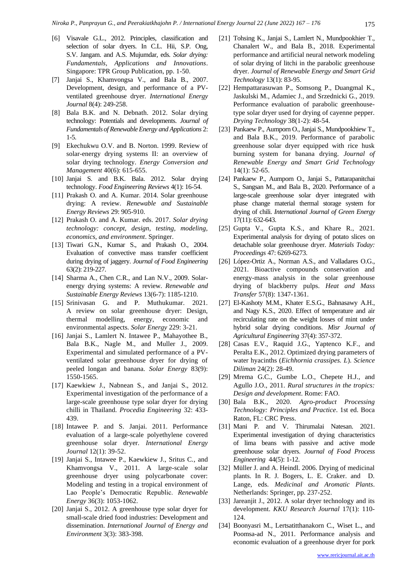- [6] Visavale G.L., 2012. Principles, classification and selection of solar dryers. In C.L. Hii, S.P. Ong, S.V. Jangam. and A.S. Mujumdar, eds. *Solar drying: Fundamentals, Applications and Innovations*. Singapore: TPR Group Publication, pp. 1-50.
- [7] Janjai S., Khamvongsa V., and Bala B., 2007. Development, design, and performance of a PVventilated greenhouse dryer. *International Energy Journal* 8(4): 249-258.
- [8] Bala B.K. and N. Debnath. 2012. Solar drying technology: Potentials and developments. *Journal of Fundamentals of Renewable Energy and Applications* 2: 1-5.
- [9] Ekechukwu O.V. and B. Norton. 1999. Review of solar-energy drying systems II: an overview of solar drying technology. *Energy Conversion and Management* 40(6): 615-655.
- [10] Janjai S. and B.K. Bala. 2012. Solar drying technology. *Food Engineering Reviews* 4(1): 16-54.
- [11] Prakash O. and A. Kumar. 2014. Solar greenhouse drying: A review. *Renewable and Sustainable Energy Reviews* 29: 905-910.
- [12] Prakash O. and A. Kumar. eds. 2017. *Solar drying technology: concept, design, testing, modeling, economics, and environment*. Springer.
- [13] Tiwari G.N., Kumar S., and Prakash O., 2004. Evaluation of convective mass transfer coefficient during drying of jaggery. *Journal of Food Engineering* 63(2): 219-227.
- [14] Sharma A., Chen C.R., and Lan N.V., 2009. Solarenergy drying systems: A review. *Renewable and Sustainable Energy Reviews* 13(6-7): 1185-1210.
- [15] Srinivasan G. and P. Muthukumar. 2021. A review on solar greenhouse dryer: Design, thermal modelling, energy, economic and environmental aspects. *Solar Energy* 229: 3-21.
- [16] Janjai S., Lamlert N. Intawee P., Mahayothee B., Bala B.K., Nagle M., and Muller J., 2009. Experimental and simulated performance of a PVventilated solar greenhouse dryer for drying of peeled longan and banana. *Solar Energy* 83(9): 1550-1565.
- [17] Kaewkiew J., Nabnean S., and Janjai S., 2012. Experimental investigation of the performance of a large-scale greenhouse type solar dryer for drying chilli in Thailand. *Procedia Engineering* 32: 433- 439.
- [18] Intawee P. and S. Janjai. 2011. Performance evaluation of a large-scale polyethylene covered greenhouse solar dryer. *International Energy Journal* 12(1): 39-52.
- [19] Janjai S., Intawee P., Kaewkiew J., Sritus C., and Khamvongsa V., 2011. A large-scale solar greenhouse dryer using polycarbonate cover: Modeling and testing in a tropical environment of Lao People's Democratic Republic. *Renewable Energy* 36(3): 1053-1062.
- [20] Janjai S., 2012. A greenhouse type solar dryer for small-scale dried food industries: Development and dissemination. *International Journal of Energy and Environment* 3(3): 383-398.
- [21] Tohsing K., Janjai S., Lamlert N., Mundpookhier T., Chanalert W., and Bala B., 2018. Experimental performance and artificial neural network modeling of solar drying of litchi in the parabolic greenhouse dryer. *Journal of Renewable Energy and Smart Grid Technology* 13(1): 83-95.
- [22] Hempattarasuwan P., Somsong P., Duangmal K., Jaskulski M., Adamiec J., and Srzednicki G., 2019. Performance evaluation of parabolic greenhousetype solar dryer used for drying of cayenne pepper. *Drying Technology* 38(1-2): 48-54.
- [23] Pankaew P., Aumporn O., Janjai S., Mundpookhiew T., and Bala B.K., 2019. Performance of parabolic greenhouse solar dryer equipped with rice husk burning system for banana drying. *Journal of Renewable Energy and Smart Grid Technology* 14(1): 52-65.
- [24] Pankaew P., Aumporn O., Janjai S., Pattarapanitchai S., Sangsan M., and Bala B., 2020. Performance of a large-scale greenhouse solar dryer integrated with phase change material thermal storage system for drying of chili. *International Journal of Green Energy* 17(11): 632-643.
- [25] Gupta V., Gupta K.S., and Khare R., 2021. Experimental analysis for drying of potato slices on detachable solar greenhouse dryer. *Materials Today: Proceedings* 47: 6269-6273.
- [26] López-Ortiz A., Norman A.S., and Valladares O.G., 2021. Bioactive compounds conservation and energy-mass analysis in the solar greenhouse drying of blackberry pulps. *Heat and Mass Transfer* 57(8): 1347-1361.
- [27] El-Kashoty M.M., Khater E.S.G., Bahnasawy A.H., and Nagy K.S., 2020. Effect of temperature and air recirculating rate on the weight losses of mint under hybrid solar drying conditions. *Misr Journal of Agricultural Engineering* 37(4): 357-372.
- [28] Casas E.V., Raquid J.G., Yaptenco K.F., and Peralta E.K., 2012. Optimized drying parameters of water hyacinths (*Eichhornia crassipes. L*). *Science Diliman* 24(2): 28-49.
- [29] Mrema G.C., Gumbe L.O., Chepete H.J., and Agullo J.O., 2011. *Rural structures in the tropics: Design and development*. Rome: FAO.
- [30] Bala B.K., 2020. *Agro-product Processing Technology: Principles and Practice*. 1st ed. Boca Raton, FL: CRC Press.
- [31] Mani P. and V. Thirumalai Natesan. 2021. Experimental investigation of drying characteristics of lima beans with passive and active mode greenhouse solar dryers. *Journal of Food Process Engineering* 44(5): 1-12.
- [32] Müller J. and A. Heindl. 2006. Drying of medicinal plants. In R. J. Bogers, L. E. Craker. and D. Lange, eds. *Medicinal and Aromatic Plants*. Netherlands: Springer, pp. 237-252.
- [33] Jareanjit J., 2012. A solar dryer technology and its development. *KKU Research Journal* 17(1): 110- 124.
- [34] Boonyasri M., Lertsatitthanakorn C., Wiset L., and Poomsa-ad N., 2011. Performance analysis and economic evaluation of a greenhouse dryer for pork